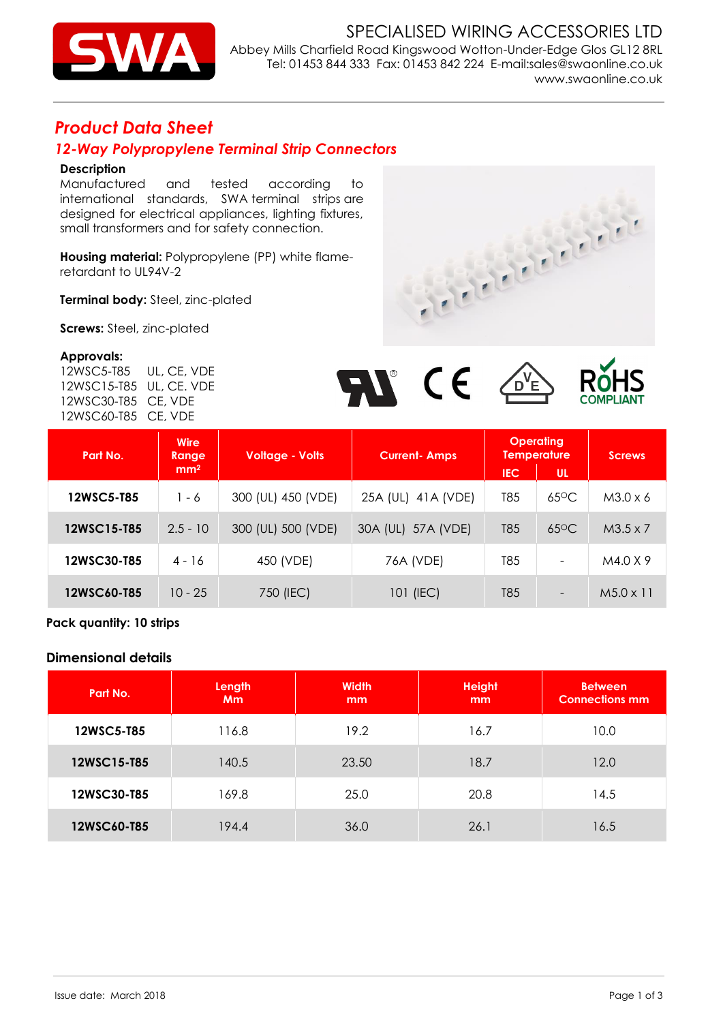

SPECIALISED WIRING ACCESSORIES LTD Abbey Mills Charfield Road Kingswood Wotton-Under-Edge Glos GL12 8RL Tel: 01453 844 333 Fax: 01453 842 224 E-mail:sales@swaonline.co.uk [www.swaonline.co.uk](http://www.swaonlione.co.uk/)

# *Product Data Sheet*

## *12-Way Polypropylene Terminal Strip Connectors*

### **Description**

 international standards, SWA terminal strips are Manufactured and tested according to designed for electrical appliances, lighting fixtures, small transformers and for safety connection.

**Housing material:** Polypropylene (PP) white flameretardant to UL94V-2

**Terminal body:** Steel, zinc-plated

**Screws:** Steel, zinc-plated

#### **Approvals:**

 12WSC15-T85 UL, CE. VDE 12WSC5-T85 UL, CE, VDE 12WSC30-T85 CE, VDE 12WSC60-T85 CE, VDE





| Part No.    | <b>Wire</b><br>Range | <b>Voltage - Volts</b> | <b>Current-Amps</b>    | <b>Operating</b><br><b>Temperature</b> |                          | <b>Screws</b>    |  |
|-------------|----------------------|------------------------|------------------------|----------------------------------------|--------------------------|------------------|--|
|             | mm <sup>2</sup>      |                        |                        | <b>UL</b><br>IEC                       |                          |                  |  |
| 12WSC5-T85  | $1 - 6$              | 300 (UL) 450 (VDE)     | 25A (UL)<br>41 A (VDE) | T85                                    | $65^{\circ}$ C           | $M3.0 \times 6$  |  |
| 12WSC15-T85 | $2.5 - 10$           | 300 (UL) 500 (VDE)     | 30A (UL) 57A (VDE)     | T85                                    | $65^{\circ}$ C           | $M3.5 \times 7$  |  |
| 12WSC30-T85 | $4 - 16$             | 450 (VDE)              | 76A (VDE)              | T85                                    | $\overline{\phantom{0}}$ | M4.0 X 9         |  |
| 12WSC60-T85 | $10 - 25$            | 750 (IEC)              | 101 (IEC)              | T85                                    |                          | $M5.0 \times 11$ |  |

**Pack quantity: 10 strips** 

### **Dimensional details**

| Part No.    | Length<br><b>Mm</b> | <b>Width</b><br>mm | <b>Height</b><br>mm | <b>Between</b><br><b>Connections mm</b> |
|-------------|---------------------|--------------------|---------------------|-----------------------------------------|
| 12WSC5-T85  | 116.8               | 19.2               | 16.7                | 10.0                                    |
| 12WSC15-T85 | 140.5               | 23.50              | 18.7                | 12.0                                    |
| 12WSC30-T85 | 169.8               | 25.0               | 20.8                | 14.5                                    |
| 12WSC60-T85 | 194.4               | 36.0               | 26.1                | 16.5                                    |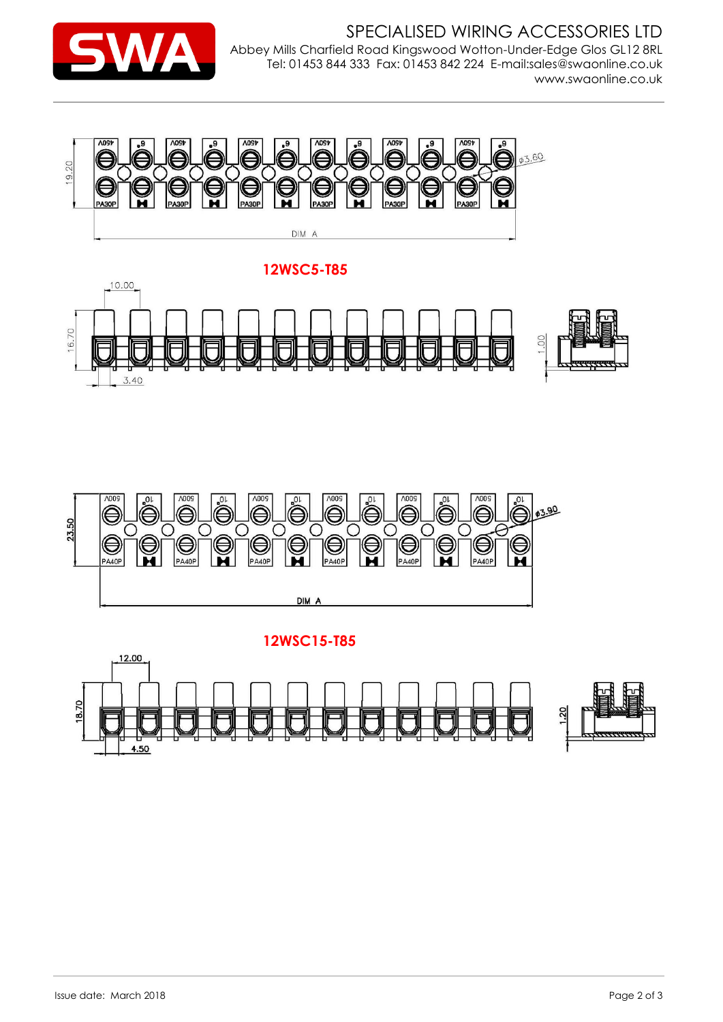



**12WSC5-T85**





**12WSC15-T85**